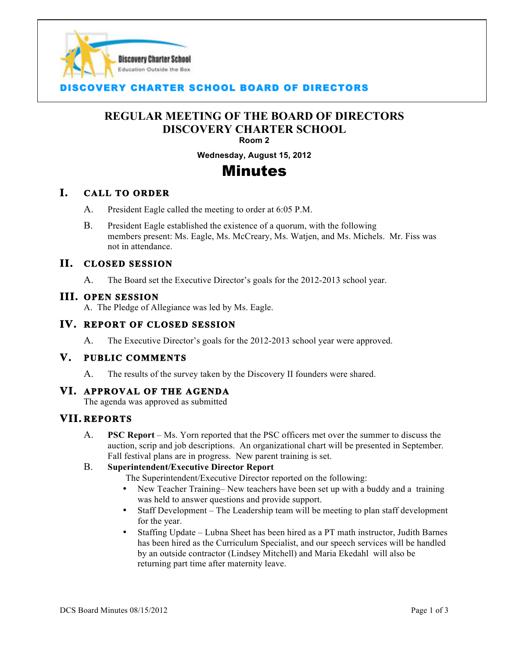

# **COVERY CHARTER SCHOOL BOARD OF DIRECTORS**

## **REGULAR MEETING OF THE BOARD OF DIRECTORS DISCOVERY CHARTER SCHOOL Room 2**

I

**Wednesday, August 15, 2012**

# Minutes

### **I. CALL TO ORDER**

- A. President Eagle called the meeting to order at 6:05 P.M.
- B. President Eagle established the existence of a quorum, with the following members present: Ms. Eagle, Ms. McCreary, Ms. Watjen, and Ms. Michels. Mr. Fiss was not in attendance.

#### **II. CLOSED SESSION**

A. The Board set the Executive Director's goals for the 2012-2013 school year.

#### **III. OPEN SESSION**

A. The Pledge of Allegiance was led by Ms. Eagle.

# **IV. REPORT OF CLOSED SESSION**

A. The Executive Director's goals for the 2012-2013 school year were approved.

#### **V. PUBLIC COMMENTS**

A. The results of the survey taken by the Discovery II founders were shared.

#### **VI. APPROVAL OF THE AGENDA**

The agenda was approved as submitted

### **VII. REPORTS**

A. **PSC Report** – Ms. Yorn reported that the PSC officers met over the summer to discuss the auction, scrip and job descriptions. An organizational chart will be presented in September. Fall festival plans are in progress. New parent training is set.

#### B. **Superintendent/Executive Director Report**

- The Superintendent/Executive Director reported on the following:
- New Teacher Training– New teachers have been set up with a buddy and a training was held to answer questions and provide support.
- Staff Development The Leadership team will be meeting to plan staff development for the year.
- Staffing Update Lubna Sheet has been hired as a PT math instructor, Judith Barnes has been hired as the Curriculum Specialist, and our speech services will be handled by an outside contractor (Lindsey Mitchell) and Maria Ekedahl will also be returning part time after maternity leave.